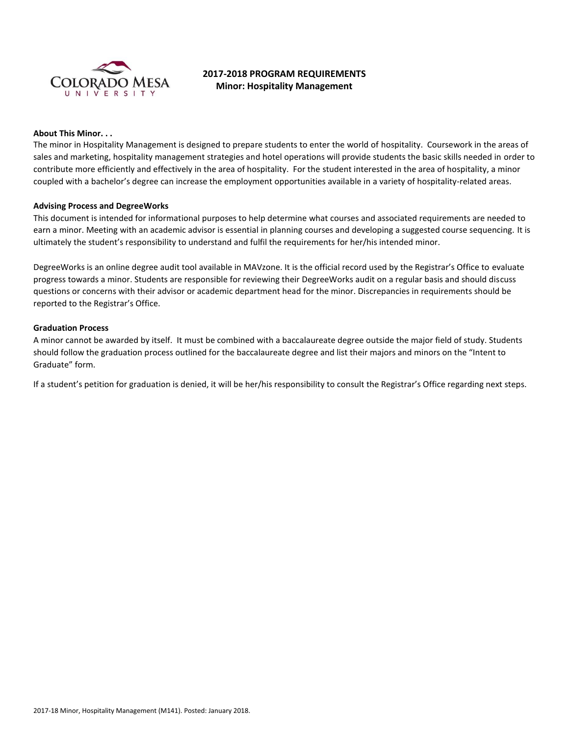

# **2017-2018 PROGRAM REQUIREMENTS Minor: Hospitality Management**

## **About This Minor. . .**

The minor in Hospitality Management is designed to prepare students to enter the world of hospitality. Coursework in the areas of sales and marketing, hospitality management strategies and hotel operations will provide students the basic skills needed in order to contribute more efficiently and effectively in the area of hospitality. For the student interested in the area of hospitality, a minor coupled with a bachelor's degree can increase the employment opportunities available in a variety of hospitality-related areas.

### **Advising Process and DegreeWorks**

This document is intended for informational purposes to help determine what courses and associated requirements are needed to earn a minor. Meeting with an academic advisor is essential in planning courses and developing a suggested course sequencing. It is ultimately the student's responsibility to understand and fulfil the requirements for her/his intended minor.

DegreeWorks is an online degree audit tool available in MAVzone. It is the official record used by the Registrar's Office to evaluate progress towards a minor. Students are responsible for reviewing their DegreeWorks audit on a regular basis and should discuss questions or concerns with their advisor or academic department head for the minor. Discrepancies in requirements should be reported to the Registrar's Office.

## **Graduation Process**

A minor cannot be awarded by itself. It must be combined with a baccalaureate degree outside the major field of study. Students should follow the graduation process outlined for the baccalaureate degree and list their majors and minors on the "Intent to Graduate" form.

If a student's petition for graduation is denied, it will be her/his responsibility to consult the Registrar's Office regarding next steps.